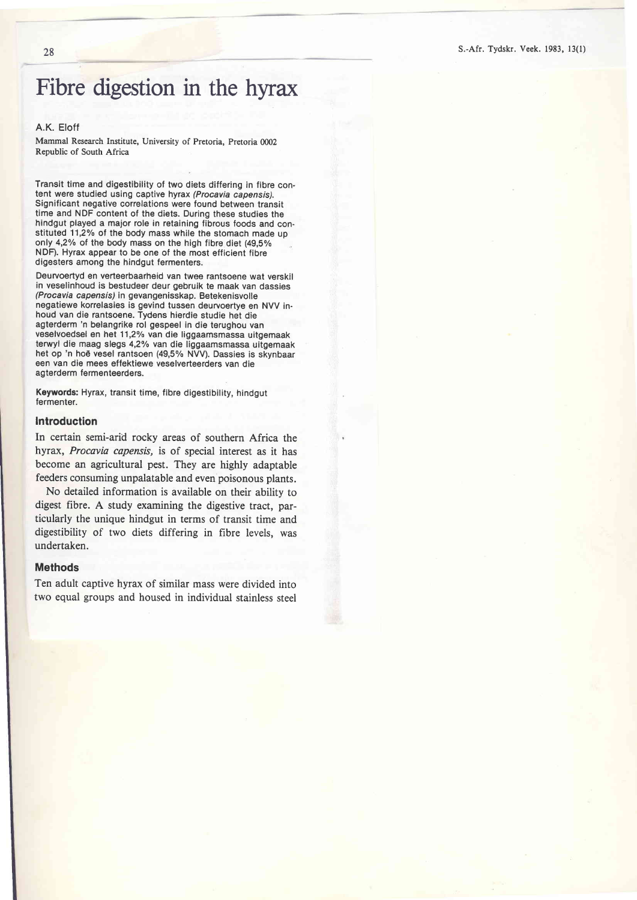# Fibre digestion in the hyrax

### A.K. Eloff

Mammal Research Institute, University of Pretoria, Pretoria 0002 Republic of South Africa

Transit time and digestibility of two diets differing in fibre content were studied using captive hyrax (Procavia capensis). Significant negative correlations were found between transit time and NDF content of the diets. During these studies the hindgut played a major role in retaining fibrous foods and constituted 11,2% of the body mass while the stomach made up only 4,2% of the body mass on the high fibre diet (49.5% NDF). Hyrax appear to be one of the most efficient fibre digesters among the hindgut fermenters.

Deurvoertyd en verteerbaarheid van twee rantsoene wat verskil in veselinhoud is bestudeer deur gebruik te maak van dassies (Procavia capensis) in gevangenisskap. Betekenisvolle negatiewe korrelasies is gevind tussen deurvoertye en NVV inhoud van die rantsoene. Tydens hierdie studie het die agterderm 'n belangrike rol gespeel in die terughou van veselvoedsel en het 11,2% van die liggaamsmassa uitgemaak terwyl die maag slegs 4,2% van die liggaamsmassa uitgemaak het op 'n ho€ vesel rantsoen (49,5% NVV). Dassies is skynbaar een van die mees effektiewe veselverteerders van die agterderm fermenteerders.

Keywords: Hyrax, transit time, fibre digestibility, hindgut fermenter.

#### Introduction

In certain semi-arid rocky areas of southern Africa the hyrax, Procavia capensis, is of special interest as it has become an agricultural pest. They are highly adaptable feeders consuming unpalatable and even poisonous plants.

No detailed information is available on their ability to digest fibre. A study examining the digestive tract, particularly the unique hindgut in terms of transit time and digestibility of two diets differing in fibre levels, was undertaken.

# Methods

Ten adult captive hyrax of similar mass were divided into two equal groups and housed in individual stainless steel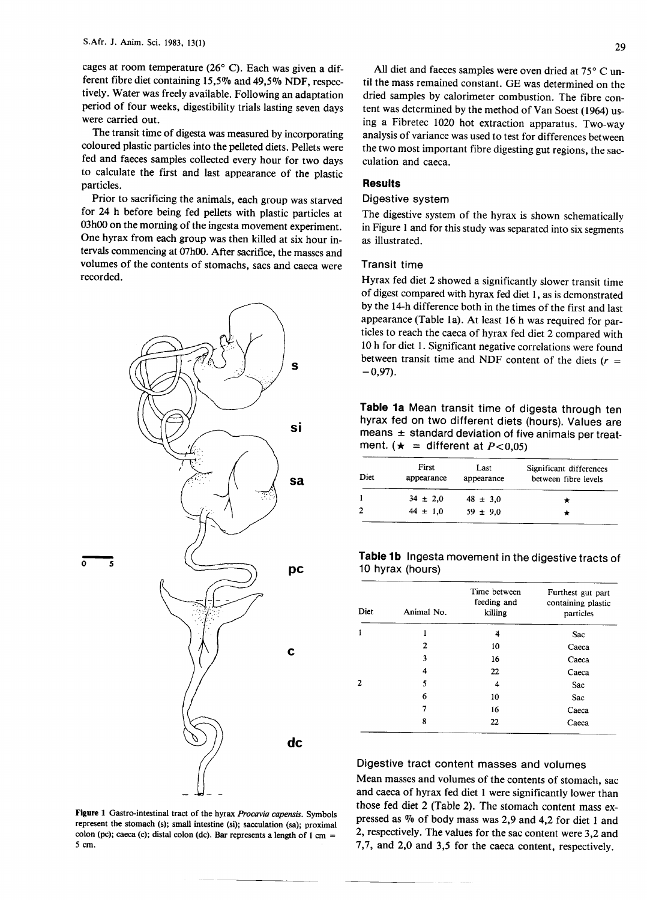cages at room temperature (26 $^{\circ}$  C). Each was given a different fibre diet containing *15,5070* and 49,5% NDF, respectively. Water was freely available. Following an adaptation period of four weeks, digestibility trials lasting seven days were carried out.

The transit time of digesta was measured by incorporating coloured plastic particles into the pelleted diets. Pellets were fed and faeces samples collected every hour for two days to calculate the first and last appearance of the plastic particles.

Prior to sacrificing the animals, each group was starved for 24 h before being fed pellets with plastic particles at 03h00 on the morning of the ingesta movement experiment. One hyrax from each group was then killed at six hour intervals commencing at 07h00. After sacrifice, the masses and volumes of the contents of stomachs, sacs and caeca were recorded.



Figure 1 Gastro-intestinal tract of the hyrax *Procavia capensis.* Symbols represent the stomach (s); small intestine (si); sacculation (sa); proximal colon (pc); caeca (c); distal colon (dc). Bar represents a length of 1 cm = 5 em.

All diet and faeces samples were oven dried at  $75^{\circ}$  C until the mass remained constant. GE was determined on the dried samples by calorimeter combustion. The fibre content was determined by the method of Van Soest (1964) using a Fibretec 1020 hot extraction apparatus. Two-way analysis of variance was used to test for differences between the two most important fibre digesting gut regions, the sacculation and caeca.

### **Results**

### Digestive system

The digestive system of the hyrax is shown schematically in Figure 1 and for this study was separated into six segments as illustrated.

### Transit time

Hyrax fed diet 2 showed a significantly slower transit time of digest compared with hyrax fed diet 1, as is demonstrated by the 14-h difference both in the times of the first and last appearance (Table la). At least 16 h was required for particles to reach the caeca of hyrax fed diet 2 compared with 10 h for diet 1. Significant negative correlations were found between transit time and NDF content of the diets *(r =*  $-0,97$ ).

**Table 1a** Mean transit time of digesta through ten hyrax fed on two different diets (hours). Values are means  $\pm$  standard deviation of five animals per treatment. ( $\star$  = different at *P*<0,05)

| sa | Diet | First<br>appearance | Last<br>appearance | Significant differences<br>between fibre levels |
|----|------|---------------------|--------------------|-------------------------------------------------|
|    |      | $34 \pm 2.0$        | $48 \pm 3.0$       |                                                 |
|    |      | $44 \pm 1.0$        | $59 \pm 9.0$       |                                                 |

# **Table 1b** Ingesta movement in the digestive tracts of

|  | Diet | Animal No.     | Time between<br>feeding and<br>killing | Furthest gut part<br>containing plastic<br>particles |
|--|------|----------------|----------------------------------------|------------------------------------------------------|
|  |      |                | 4                                      | Sac                                                  |
|  |      | $\overline{2}$ | 10                                     | Caeca                                                |
|  |      | 3              | 16                                     | Caeca                                                |
|  |      | 4              | 22                                     | Caeca                                                |
|  | 2    | 5              | 4                                      | Sac                                                  |
|  |      | 6              | 10                                     | Sac                                                  |
|  |      | 7              | 16                                     | Caeca                                                |
|  |      | 8              | 22                                     | Caeca                                                |

# Digestive tract content masses and volumes

Mean masses and volumes of the contents of stomach, sac and caeca of hyrax fed diet 1 were significantly lower than those fed diet 2 (Table 2). The stomach content mass expressed as % of body mass was 2,9 and 4,2 for diet 1 and 2, respectively. The values for the sac content were 3,2 and 7,7, and 2,0 and 3,5 for the caeca content, respectively.